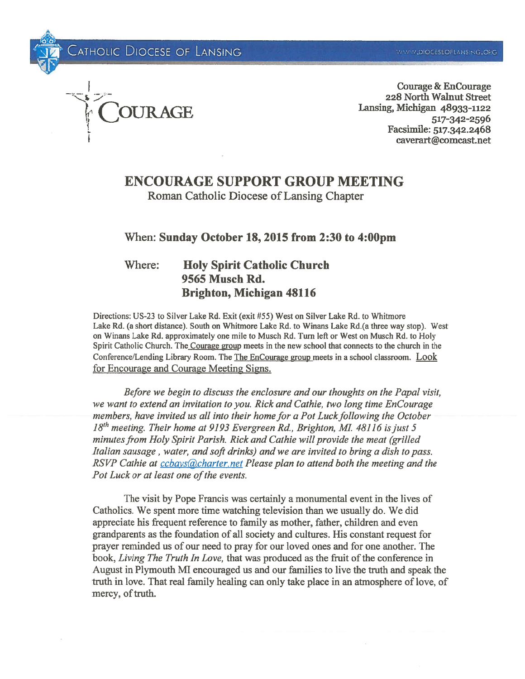

**Courage & EnCourage** 228 North Walnut Street Lansing, Michigan 48933-1122 517-342-2596 Facsimile: 517.342.2468 caverart@comcast.net

# **ENCOURAGE SUPPORT GROUP MEETING**

Roman Catholic Diocese of Lansing Chapter

## When: Sunday October 18, 2015 from 2:30 to 4:00pm

#### **Holy Spirit Catholic Church** Where: 9565 Musch Rd. Brighton, Michigan 48116

Directions: US-23 to Silver Lake Rd. Exit (exit #55) West on Silver Lake Rd. to Whitmore Lake Rd. (a short distance). South on Whitmore Lake Rd. to Winans Lake Rd. (a three way stop). West on Winans Lake Rd. approximately one mile to Musch Rd. Turn left or West on Musch Rd. to Holy Spirit Catholic Church. The Courage group meets in the new school that connects to the church in the Conference/Lending Library Room. The The EnCourage group meets in a school classroom. Look for Encourage and Courage Meeting Signs.

Before we begin to discuss the enclosure and our thoughts on the Papal visit, we want to extend an invitation to you. Rick and Cathie, two long time EnCourage members, have invited us all into their home for a Pot Luck following the October  $18<sup>th</sup>$  meeting. Their home at 9193 Evergreen Rd., Brighton, MI. 48116 is just 5 minutes from Holy Spirit Parish, Rick and Cathie will provide the meat (grilled Italian sausage, water, and soft drinks) and we are invited to bring a dish to pass. RSVP Cathie at ccbays@charter.net Please plan to attend both the meeting and the Pot Luck or at least one of the events.

The visit by Pope Francis was certainly a monumental event in the lives of Catholics. We spent more time watching television than we usually do. We did appreciate his frequent reference to family as mother, father, children and even grandparents as the foundation of all society and cultures. His constant request for prayer reminded us of our need to pray for our loved ones and for one another. The book, Living The Truth In Love, that was produced as the fruit of the conference in August in Plymouth MI encouraged us and our families to live the truth and speak the truth in love. That real family healing can only take place in an atmosphere of love, of mercy, of truth.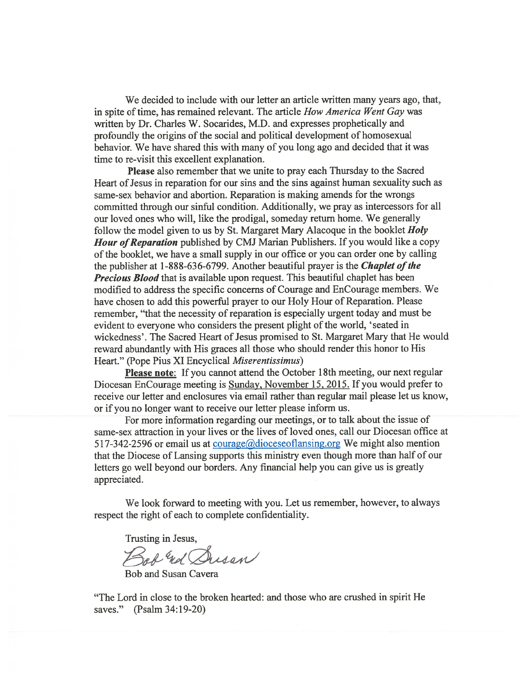We decided to include with our letter an article written many years ago, that, in spite of time, has remained relevant. The article How America Went Gay was written by Dr. Charles W. Socarides, M.D. and expresses prophetically and profoundly the origins of the social and political development of homosexual behavior. We have shared this with many of you long ago and decided that it was time to re-visit this excellent explanation.

Please also remember that we unite to pray each Thursday to the Sacred Heart of Jesus in reparation for our sins and the sins against human sexuality such as same-sex behavior and abortion. Reparation is making amends for the wrongs committed through our sinful condition. Additionally, we pray as intercessors for all our loved ones who will, like the prodigal, someday return home. We generally follow the model given to us by St. Margaret Mary Alacoque in the booklet *Holy* **Hour of Reparation** published by CMJ Marian Publishers. If you would like a copy of the booklet, we have a small supply in our office or you can order one by calling the publisher at 1-888-636-6799. Another beautiful prayer is the *Chaplet of the* **Precious Blood** that is available upon request. This beautiful chaplet has been modified to address the specific concerns of Courage and EnCourage members. We have chosen to add this powerful prayer to our Holy Hour of Reparation. Please remember, "that the necessity of reparation is especially urgent today and must be evident to everyone who considers the present plight of the world, 'seated in wickedness'. The Sacred Heart of Jesus promised to St. Margaret Mary that He would reward abundantly with His graces all those who should render this honor to His Heart." (Pope Pius XI Encyclical Miserentissimus)

Please note: If you cannot attend the October 18th meeting, our next regular Diocesan EnCourage meeting is Sunday, November 15, 2015. If you would prefer to receive our letter and enclosures via email rather than regular mail please let us know, or if you no longer want to receive our letter please inform us.

For more information regarding our meetings, or to talk about the issue of same-sex attraction in your lives or the lives of loved ones, call our Diocesan office at 517-342-2596 or email us at courage@dioceseoflansing.org We might also mention that the Diocese of Lansing supports this ministry even though more than half of our letters go well beyond our borders. Any financial help you can give us is greatly appreciated.

We look forward to meeting with you. Let us remember, however, to always respect the right of each to complete confidentiality.

Trusting in Jesus,

Bob and Busan

**Bob and Susan Caver** 

"The Lord in close to the broken hearted: and those who are crushed in spirit He saves." (Psalm 34:19-20)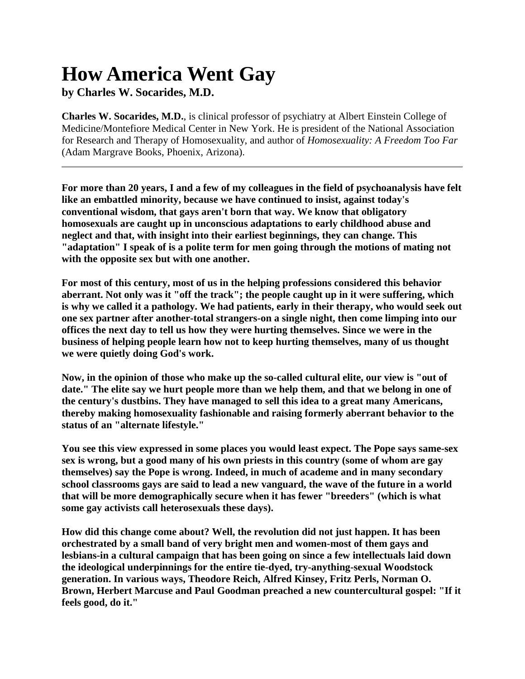# **How America Went Gay**

**by Charles W. Socarides, M.D.**

**Charles W. Socarides, M.D.**, is clinical professor of psychiatry at Albert Einstein College of Medicine/Montefiore Medical Center in New York. He is president of the National Association for Research and Therapy of Homosexuality, and author of *Homosexuality: A Freedom Too Far* (Adam Margrave Books, Phoenix, Arizona).

**For more than 20 years, I and a few of my colleagues in the field of psychoanalysis have felt like an embattled minority, because we have continued to insist, against today's conventional wisdom, that gays aren't born that way. We know that obligatory homosexuals are caught up in unconscious adaptations to early childhood abuse and neglect and that, with insight into their earliest beginnings, they can change. This "adaptation" I speak of is a polite term for men going through the motions of mating not with the opposite sex but with one another.** 

**For most of this century, most of us in the helping professions considered this behavior aberrant. Not only was it "off the track"; the people caught up in it were suffering, which is why we called it a pathology. We had patients, early in their therapy, who would seek out one sex partner after another-total strangers-on a single night, then come limping into our offices the next day to tell us how they were hurting themselves. Since we were in the business of helping people learn how not to keep hurting themselves, many of us thought we were quietly doing God's work.** 

**Now, in the opinion of those who make up the so-called cultural elite, our view is "out of date." The elite say we hurt people more than we help them, and that we belong in one of the century's dustbins. They have managed to sell this idea to a great many Americans, thereby making homosexuality fashionable and raising formerly aberrant behavior to the status of an "alternate lifestyle."** 

**You see this view expressed in some places you would least expect. The Pope says same-sex sex is wrong, but a good many of his own priests in this country (some of whom are gay themselves) say the Pope is wrong. Indeed, in much of academe and in many secondary school classrooms gays are said to lead a new vanguard, the wave of the future in a world that will be more demographically secure when it has fewer "breeders" (which is what some gay activists call heterosexuals these days).** 

**How did this change come about? Well, the revolution did not just happen. It has been orchestrated by a small band of very bright men and women-most of them gays and lesbians-in a cultural campaign that has been going on since a few intellectuals laid down the ideological underpinnings for the entire tie-dyed, try-anything-sexual Woodstock generation. In various ways, Theodore Reich, Alfred Kinsey, Fritz Perls, Norman O. Brown, Herbert Marcuse and Paul Goodman preached a new countercultural gospel: "If it feels good, do it."**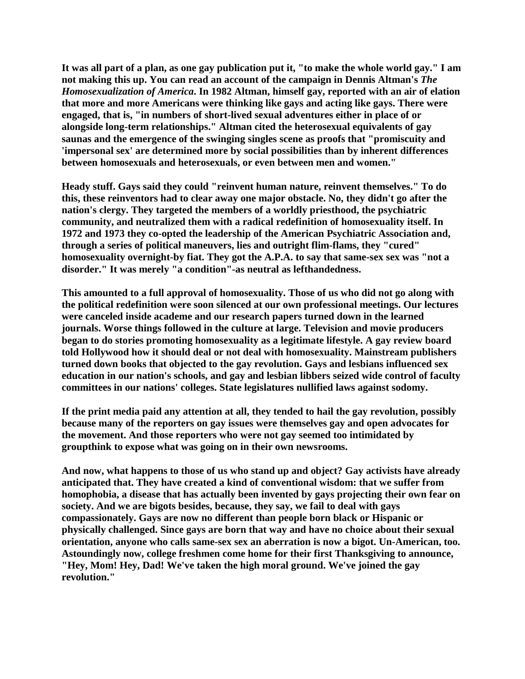**It was all part of a plan, as one gay publication put it, "to make the whole world gay." I am not making this up. You can read an account of the campaign in Dennis Altman's** *The Homosexualization of America***. In 1982 Altman, himself gay, reported with an air of elation that more and more Americans were thinking like gays and acting like gays. There were engaged, that is, "in numbers of short-lived sexual adventures either in place of or alongside long-term relationships." Altman cited the heterosexual equivalents of gay saunas and the emergence of the swinging singles scene as proofs that "promiscuity and 'impersonal sex' are determined more by social possibilities than by inherent differences between homosexuals and heterosexuals, or even between men and women."** 

**Heady stuff. Gays said they could "reinvent human nature, reinvent themselves." To do this, these reinventors had to clear away one major obstacle. No, they didn't go after the nation's clergy. They targeted the members of a worldly priesthood, the psychiatric community, and neutralized them with a radical redefinition of homosexuality itself. In 1972 and 1973 they co-opted the leadership of the American Psychiatric Association and, through a series of political maneuvers, lies and outright flim-flams, they "cured" homosexuality overnight-by fiat. They got the A.P.A. to say that same-sex sex was "not a disorder." It was merely "a condition"-as neutral as lefthandedness.** 

**This amounted to a full approval of homosexuality. Those of us who did not go along with the political redefinition were soon silenced at our own professional meetings. Our lectures were canceled inside academe and our research papers turned down in the learned journals. Worse things followed in the culture at large. Television and movie producers began to do stories promoting homosexuality as a legitimate lifestyle. A gay review board told Hollywood how it should deal or not deal with homosexuality. Mainstream publishers turned down books that objected to the gay revolution. Gays and lesbians influenced sex education in our nation's schools, and gay and lesbian libbers seized wide control of faculty committees in our nations' colleges. State legislatures nullified laws against sodomy.** 

**If the print media paid any attention at all, they tended to hail the gay revolution, possibly because many of the reporters on gay issues were themselves gay and open advocates for the movement. And those reporters who were not gay seemed too intimidated by groupthink to expose what was going on in their own newsrooms.** 

**And now, what happens to those of us who stand up and object? Gay activists have already anticipated that. They have created a kind of conventional wisdom: that we suffer from homophobia, a disease that has actually been invented by gays projecting their own fear on society. And we are bigots besides, because, they say, we fail to deal with gays compassionately. Gays are now no different than people born black or Hispanic or physically challenged. Since gays are born that way and have no choice about their sexual orientation, anyone who calls same-sex sex an aberration is now a bigot. Un-American, too. Astoundingly now, college freshmen come home for their first Thanksgiving to announce, "Hey, Mom! Hey, Dad! We've taken the high moral ground. We've joined the gay revolution."**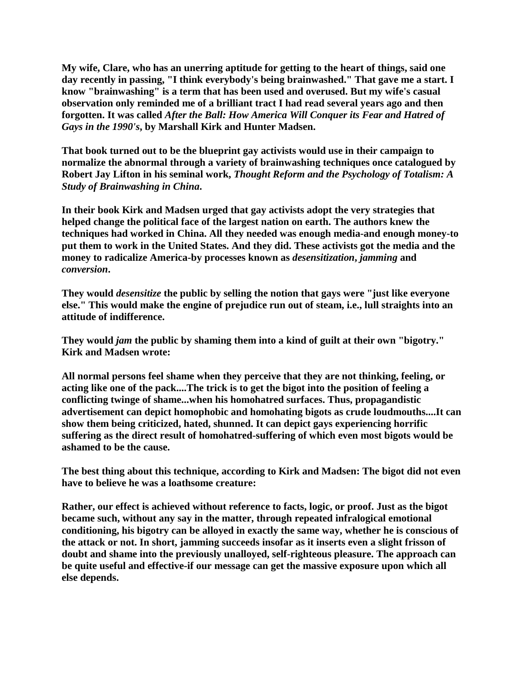**My wife, Clare, who has an unerring aptitude for getting to the heart of things, said one day recently in passing, "I think everybody's being brainwashed." That gave me a start. I know "brainwashing" is a term that has been used and overused. But my wife's casual observation only reminded me of a brilliant tract I had read several years ago and then forgotten. It was called** *After the Ball: How America Will Conquer its Fear and Hatred of Gays in the 1990's***, by Marshall Kirk and Hunter Madsen.** 

**That book turned out to be the blueprint gay activists would use in their campaign to normalize the abnormal through a variety of brainwashing techniques once catalogued by Robert Jay Lifton in his seminal work,** *Thought Reform and the Psychology of Totalism: A Study of Brainwashing in China***.** 

**In their book Kirk and Madsen urged that gay activists adopt the very strategies that helped change the political face of the largest nation on earth. The authors knew the techniques had worked in China. All they needed was enough media-and enough money-to put them to work in the United States. And they did. These activists got the media and the money to radicalize America-by processes known as** *desensitization***,** *jamming* **and**  *conversion***.** 

**They would** *desensitize* **the public by selling the notion that gays were "just like everyone else." This would make the engine of prejudice run out of steam, i.e., lull straights into an attitude of indifference.** 

**They would** *jam* **the public by shaming them into a kind of guilt at their own "bigotry." Kirk and Madsen wrote:** 

**All normal persons feel shame when they perceive that they are not thinking, feeling, or acting like one of the pack....The trick is to get the bigot into the position of feeling a conflicting twinge of shame...when his homohatred surfaces. Thus, propagandistic advertisement can depict homophobic and homohating bigots as crude loudmouths....It can show them being criticized, hated, shunned. It can depict gays experiencing horrific suffering as the direct result of homohatred-suffering of which even most bigots would be ashamed to be the cause.**

**The best thing about this technique, according to Kirk and Madsen: The bigot did not even have to believe he was a loathsome creature:** 

**Rather, our effect is achieved without reference to facts, logic, or proof. Just as the bigot became such, without any say in the matter, through repeated infralogical emotional conditioning, his bigotry can be alloyed in exactly the same way, whether he is conscious of the attack or not. In short, jamming succeeds insofar as it inserts even a slight frisson of doubt and shame into the previously unalloyed, self-righteous pleasure. The approach can be quite useful and effective-if our message can get the massive exposure upon which all else depends.**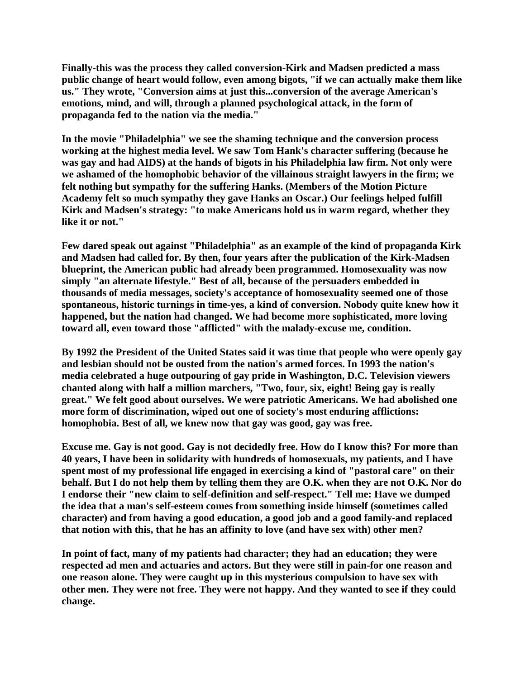**Finally-this was the process they called conversion-Kirk and Madsen predicted a mass public change of heart would follow, even among bigots, "if we can actually make them like us." They wrote, "Conversion aims at just this...conversion of the average American's emotions, mind, and will, through a planned psychological attack, in the form of propaganda fed to the nation via the media."** 

**In the movie "Philadelphia" we see the shaming technique and the conversion process working at the highest media level. We saw Tom Hank's character suffering (because he was gay and had AIDS) at the hands of bigots in his Philadelphia law firm. Not only were we ashamed of the homophobic behavior of the villainous straight lawyers in the firm; we felt nothing but sympathy for the suffering Hanks. (Members of the Motion Picture Academy felt so much sympathy they gave Hanks an Oscar.) Our feelings helped fulfill Kirk and Madsen's strategy: "to make Americans hold us in warm regard, whether they like it or not."** 

**Few dared speak out against "Philadelphia" as an example of the kind of propaganda Kirk and Madsen had called for. By then, four years after the publication of the Kirk-Madsen blueprint, the American public had already been programmed. Homosexuality was now simply "an alternate lifestyle." Best of all, because of the persuaders embedded in thousands of media messages, society's acceptance of homosexuality seemed one of those spontaneous, historic turnings in time-yes, a kind of conversion. Nobody quite knew how it happened, but the nation had changed. We had become more sophisticated, more loving toward all, even toward those "afflicted" with the malady-excuse me, condition.** 

**By 1992 the President of the United States said it was time that people who were openly gay and lesbian should not be ousted from the nation's armed forces. In 1993 the nation's media celebrated a huge outpouring of gay pride in Washington, D.C. Television viewers chanted along with half a million marchers, "Two, four, six, eight! Being gay is really great." We felt good about ourselves. We were patriotic Americans. We had abolished one more form of discrimination, wiped out one of society's most enduring afflictions: homophobia. Best of all, we knew now that gay was good, gay was free.** 

**Excuse me. Gay is not good. Gay is not decidedly free. How do I know this? For more than 40 years, I have been in solidarity with hundreds of homosexuals, my patients, and I have spent most of my professional life engaged in exercising a kind of "pastoral care" on their behalf. But I do not help them by telling them they are O.K. when they are not O.K. Nor do I endorse their "new claim to self-definition and self-respect." Tell me: Have we dumped the idea that a man's self-esteem comes from something inside himself (sometimes called character) and from having a good education, a good job and a good family-and replaced that notion with this, that he has an affinity to love (and have sex with) other men?** 

**In point of fact, many of my patients had character; they had an education; they were respected ad men and actuaries and actors. But they were still in pain-for one reason and one reason alone. They were caught up in this mysterious compulsion to have sex with other men. They were not free. They were not happy. And they wanted to see if they could change.**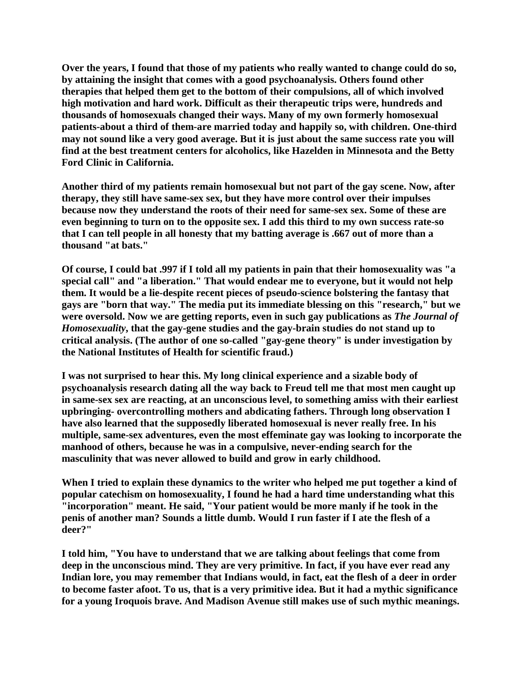**Over the years, I found that those of my patients who really wanted to change could do so, by attaining the insight that comes with a good psychoanalysis. Others found other therapies that helped them get to the bottom of their compulsions, all of which involved high motivation and hard work. Difficult as their therapeutic trips were, hundreds and thousands of homosexuals changed their ways. Many of my own formerly homosexual patients-about a third of them-are married today and happily so, with children. One-third may not sound like a very good average. But it is just about the same success rate you will find at the best treatment centers for alcoholics, like Hazelden in Minnesota and the Betty Ford Clinic in California.** 

**Another third of my patients remain homosexual but not part of the gay scene. Now, after therapy, they still have same-sex sex, but they have more control over their impulses because now they understand the roots of their need for same-sex sex. Some of these are even beginning to turn on to the opposite sex. I add this third to my own success rate-so that I can tell people in all honesty that my batting average is .667 out of more than a thousand "at bats."** 

**Of course, I could bat .997 if I told all my patients in pain that their homosexuality was "a special call" and "a liberation." That would endear me to everyone, but it would not help them. It would be a lie-despite recent pieces of pseudo-science bolstering the fantasy that gays are "born that way." The media put its immediate blessing on this "research," but we were oversold. Now we are getting reports, even in such gay publications as** *The Journal of Homosexuality***, that the gay-gene studies and the gay-brain studies do not stand up to critical analysis. (The author of one so-called "gay-gene theory" is under investigation by the National Institutes of Health for scientific fraud.)** 

**I was not surprised to hear this. My long clinical experience and a sizable body of psychoanalysis research dating all the way back to Freud tell me that most men caught up in same-sex sex are reacting, at an unconscious level, to something amiss with their earliest upbringing- overcontrolling mothers and abdicating fathers. Through long observation I have also learned that the supposedly liberated homosexual is never really free. In his multiple, same-sex adventures, even the most effeminate gay was looking to incorporate the manhood of others, because he was in a compulsive, never-ending search for the masculinity that was never allowed to build and grow in early childhood.** 

**When I tried to explain these dynamics to the writer who helped me put together a kind of popular catechism on homosexuality, I found he had a hard time understanding what this "incorporation" meant. He said, "Your patient would be more manly if he took in the penis of another man? Sounds a little dumb. Would I run faster if I ate the flesh of a deer?"** 

**I told him, "You have to understand that we are talking about feelings that come from deep in the unconscious mind. They are very primitive. In fact, if you have ever read any Indian lore, you may remember that Indians would, in fact, eat the flesh of a deer in order to become faster afoot. To us, that is a very primitive idea. But it had a mythic significance for a young Iroquois brave. And Madison Avenue still makes use of such mythic meanings.**